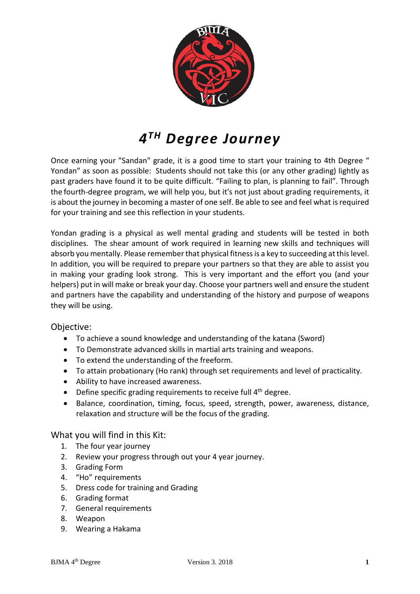

# *4TH Degree Journey*

Once earning your "Sandan" grade, it is a good time to start your training to 4th Degree " Yondan" as soon as possible: Students should not take this (or any other grading) lightly as past graders have found it to be quite difficult. "Failing to plan, is planning to fail". Through the fourth-degree program, we will help you, but it's not just about grading requirements, it is about the journey in becoming a master of one self. Be able to see and feel what is required for your training and see this reflection in your students.

Yondan grading is a physical as well [mental grading and students will be tested in both](http://mentally.it/)  [disciplines. The shear amount of work required in learning new skills and techniques will](http://mentally.it/)  absorb you mentally. Please remember that physical fitness is a key to succeeding at this level. In addition, you will be required to prepare your partners so that they are able to assist you in making your grading look strong. This is very important and the effort you (and your helpers) put in will make or break your day. Choose your partners well and ensure the student and partners have the capability and understanding of the history and purpose of weapons they will be using.

### Objective:

- To achieve a sound knowledge and understanding of the katana (Sword)
- To Demonstrate advanced skills in martial arts training and weapons.
- To extend the understanding of the freeform.
- To attain probationary (Ho rank) through set requirements and level of practicality.
- Ability to have increased awareness.
- Define specific grading requirements to receive full 4<sup>th</sup> degree.
- Balance, coordination, timing, focus, speed, strength, power, awareness, distance, relaxation and structure will be the focus of the grading.

### What you will find in this Kit:

- 1. The four year journey
- 2. Review your progress through out your 4 year journey.
- 3. Grading Form
- 4. "Ho" requirements
- 5. Dress code for training and Grading
- 6. Grading format
- 7. General requirements
- 8. Weapon
- 9. Wearing a Hakama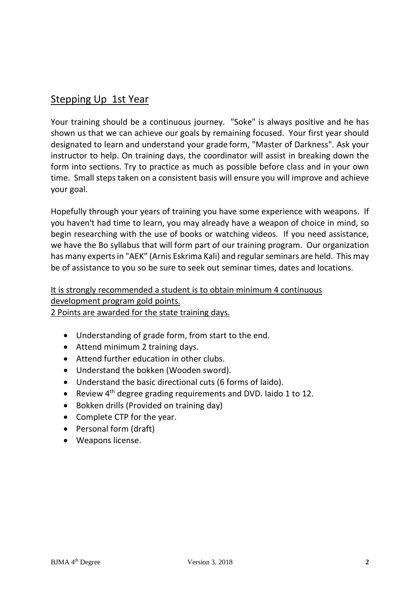### Stepping Up 1st Year

Your training should be a continuous journey. "Soke" is always positive and he has shown us that we can achieve our goals by remaining focused. Your first year should designated to learn and understand your grade form, "Master of Darkness". Ask your instructor to help. On training days, the coordinator will assist in breaking down the form into sections. Try to practice as much as possible before class and in your own time. Small steps taken on a consistent basis will ensure you will improve and achieve your goal.

Hopefully through your years of training you have some experience with weapons. If you haven't had time to learn, you may already have a weapon of choice in mind, so begin researching with the use of books or watching videos. If you need assistance, we have the Bo syllabus that will form part of our training program. Our organization has many experts in "AEK" (Arnis Eskrima Kali) and regular seminars are held. This may be of assistance to you so be sure to seek out seminar times, dates and locations.

### It is strongly recommended a student is to obtain minimum 4 continuous development program gold points. 2 Points are awarded for the state training days.

- Understanding of grade form, from start to the end.
- Attend minimum 2 training days.
- Attend further education in other clubs.
- Understand the bokken (Wooden sword).
- Understand the basic directional cuts (6 forms of Iaido).
- Review 4<sup>th</sup> degree grading requirements and DVD. Iaido 1 to 12.
- Bokken drills (Provided on training day)
- Complete CTP for the year.
- Personal form (draft)
- Weapons license.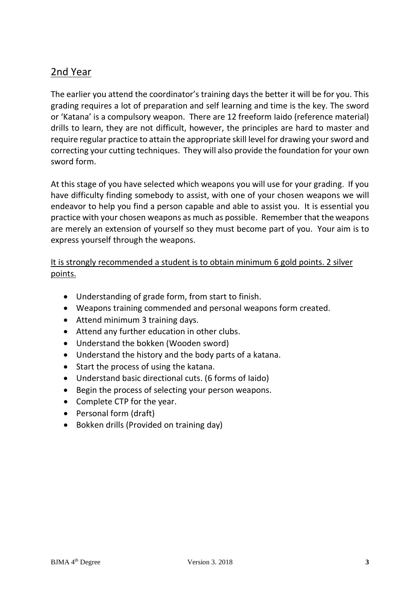## 2nd Year

The earlier you attend the coordinator's training days the better it will be for you. This grading requires a lot of preparation and self learning and time is the key. The sword or 'Katana' is a compulsory weapon. There are 12 freeform Iaido (reference material) drills to learn, they are not difficult, however, the principles are hard to master and require regular practice to attain the appropriate skill level for drawing your sword and correcting your cutting techniques. They will also provide the foundation for your own sword form.

At this stage of you have selected which weapons you will use for your grading. If you have difficulty finding somebody to assist, with one of your chosen weapons we will endeavor to help you find a person capable and able to assist you. It is essential you practice with your chosen weapons as much as possible. Remember that the weapons are merely an extension of yourself so they must become part of you. Your aim is to express yourself through the weapons.

### It is strongly recommended a student is to obtain minimum 6 gold points. 2 silver points.

- Understanding of grade form, from start to finish.
- Weapons training commended and personal weapons form created.
- Attend minimum 3 training days.
- Attend any further education in other clubs.
- Understand the bokken (Wooden sword)
- Understand the history and the body parts of a katana.
- Start the process of using the katana.
- Understand basic directional cuts. (6 forms of Iaido)
- Begin the process of selecting your person weapons.
- Complete CTP for the year.
- Personal form (draft)
- Bokken drills (Provided on training day)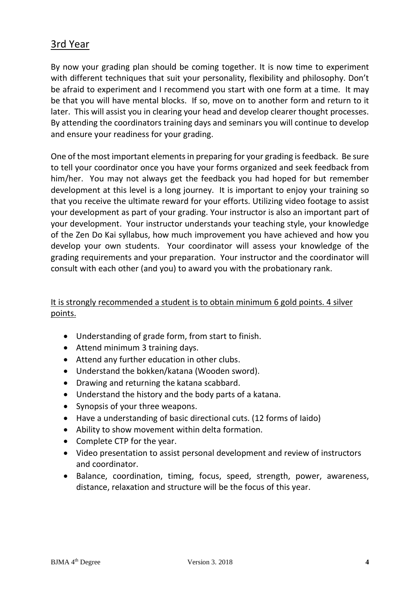### 3rd Year

By now your grading plan should be coming together. It is now time to experiment with different techniques that suit your personality, flexibility and philosophy. Don't be afraid to experiment and I recommend you start with one form at a time. It may be that you will have mental blocks. If so, move on to another form and return to it later. This will assist you in clearing your head and develop clearer thought processes. By attending the coordinators training days and seminars you will continue to develop and ensure your readiness for your grading.

One of the most important elements in preparing for your grading is feedback. Be sure to tell your coordinator once you have your forms organized and seek feedback from him/her. You may not always get the feedback you had hoped for but remember development at this level is a long journey. It is important to enjoy your training so that you receive the ultimate reward for your efforts. Utilizing video footage to assist your development as part of your grading. Your instructor is also an important part of your development. Your instructor understands your teaching style, your knowledge of the Zen Do Kai syllabus, how much improvement you have achieved and how you develop your own students. Your coordinator will assess your knowledge of the grading requirements and your preparation. Your instructor and the coordinator will consult with each other (and you) to award you with the probationary rank.

### It is strongly recommended a student is to obtain minimum 6 gold points. 4 silver points.

- Understanding of grade form, from start to finish.
- Attend minimum 3 training days.
- Attend any further education in other clubs.
- Understand the bokken/katana (Wooden sword).
- Drawing and returning the katana scabbard.
- Understand the history and the body parts of a katana.
- Synopsis of your three weapons.
- Have a understanding of basic directional cuts. (12 forms of Iaido)
- Ability to show movement within delta formation.
- Complete CTP for the year.
- Video presentation to assist personal development and review of instructors and coordinator.
- Balance, coordination, timing, focus, speed, strength, power, awareness, distance, relaxation and structure will be the focus of this year.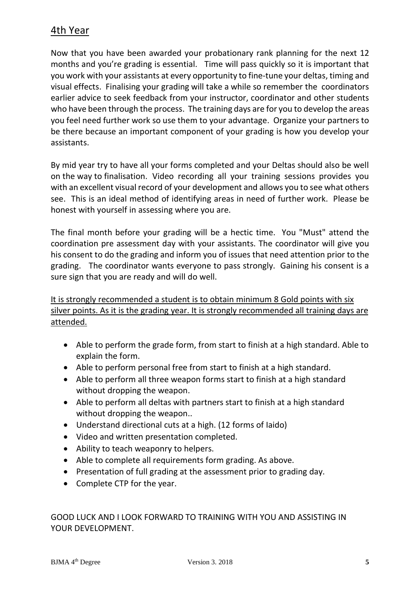### 4th Year

Now that you have been awarded your probationary rank planning for the next 12 months and you're grading is essential. Time will pass quickly so it is important that you work with your assistants at every opportunity to fine-tune your deltas, timing and visual effects. Finalising your grading will take a while so remember the coordinators earlier advice to seek feedback from your instructor, coordinator and other students who have been through the process. The training days are for you to develop the areas you feel need further work so use them to your advantage. Organize your partners to be there because an important component of your grading is how you develop your assistants.

By mid year try to have all your forms completed and your Deltas should also be well on the way to finalisation. Video recording all your training sessions provides you with an excellent visual record of your development and allows you to see what others see. This is an ideal method of identifying areas in need of further work. Please be honest with yourself in assessing where you are.

The final month before your grading will be a hectic time. You "Must" attend the coordination pre assessment day with your assistants. The coordinator will give you his consent to do the grading and inform you of issues that need attention prior to the grading. The coordinator wants everyone to pass strongly. Gaining his consent is a sure sign that you are ready and will do well.

It is strongly recommended a student is to obtain minimum 8 Gold points with six silver points. As it is the grading year. It is strongly recommended all training days are attended.

- Able to perform the grade form, from start to finish at a high standard. Able to explain the form.
- Able to perform personal free from start to finish at a high standard.
- Able to perform all three weapon forms start to finish at a high standard without dropping the weapon.
- Able to perform all deltas with partners start to finish at a high standard without dropping the weapon..
- Understand directional cuts at a high. (12 forms of Iaido)
- Video and written presentation completed.
- Ability to teach weaponry to helpers.
- Able to complete all requirements form grading. As above.
- Presentation of full grading at the assessment prior to grading day.
- Complete CTP for the year.

GOOD LUCK AND I LOOK FORWARD TO TRAINING WITH YOU AND ASSISTING IN YOUR DEVELOPMENT.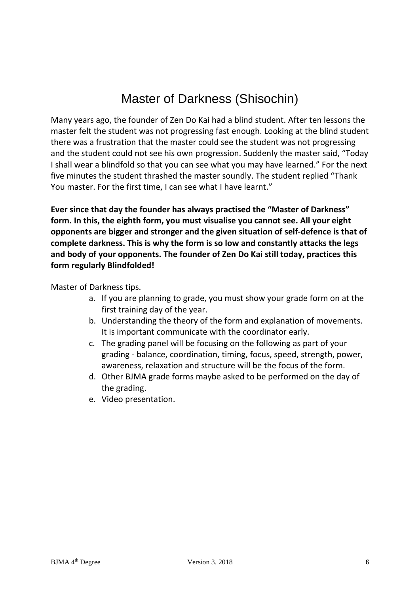# Master of Darkness (Shisochin)

Many years ago, the founder of Zen Do Kai had a blind student. After ten lessons the master felt the student was not progressing fast enough. Looking at the blind student there was a frustration that the master could see the student was not progressing and the student could not see his own progression. Suddenly the master said, "Today I shall wear a blindfold so that you can see what you may have learned." For the next five minutes the student thrashed the master soundly. The student replied "Thank You master. For the first time, I can see what I have learnt."

**Ever since that day the founder has always practised the "Master of Darkness" form. In this, the eighth form, you must visualise you cannot see. All your eight opponents are bigger and stronger and the given situation of self-defence is that of complete darkness. This is why the form is so low and constantly attacks the legs and body of your opponents. The founder of Zen Do Kai still today, practices this form regularly Blindfolded!**

Master of Darkness tips.

- a. If you are planning to grade, you must show your grade form on at the first training day of the year.
- b. Understanding the theory of the form and explanation of movements. It is important communicate with the coordinator early.
- c. The grading panel will be focusing on the following as part of your grading - balance, coordination, timing, focus, speed, strength, power, awareness, relaxation and structure will be the focus of the form.
- d. Other BJMA grade forms maybe asked to be performed on the day of the grading.
- e. Video presentation.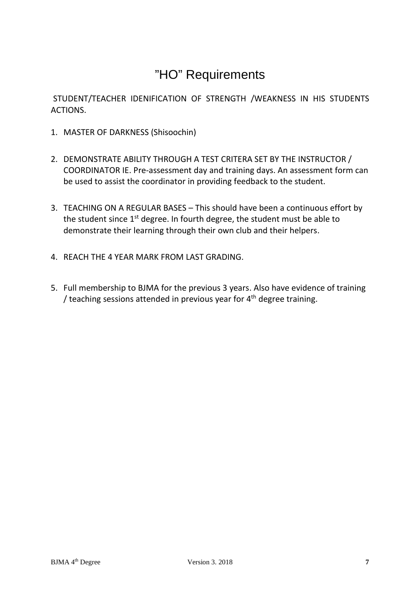# "HO" Requirements

STUDENT/TEACHER IDENIFICATION OF STRENGTH /WEAKNESS IN HIS STUDENTS **ACTIONS** 

- 1. MASTER OF DARKNESS (Shisoochin)
- 2. DEMONSTRATE ABILITY THROUGH A TEST CRITERA SET BY THE INSTRUCTOR / COORDINATOR IE. Pre-assessment day and training days. An assessment form can be used to assist the coordinator in providing feedback to the student.
- 3. TEACHING ON A REGULAR BASES This should have been a continuous effort by the student since  $1<sup>st</sup>$  degree. In fourth degree, the student must be able to demonstrate their learning through their own club and their helpers.
- 4. REACH THE 4 YEAR MARK FROM LAST GRADING.
- 5. Full membership to BJMA for the previous 3 years. Also have evidence of training / teaching sessions attended in previous year for  $4<sup>th</sup>$  degree training.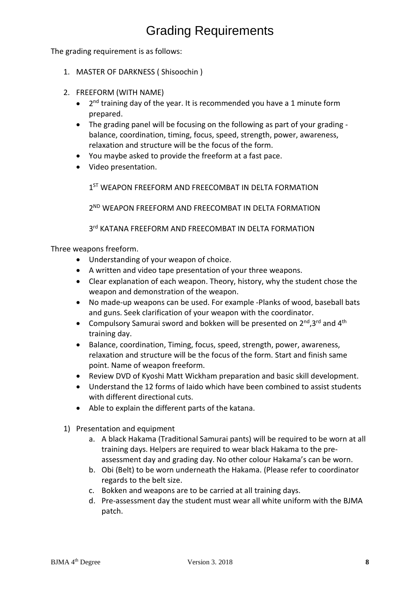# Grading Requirements

The grading requirement is as follows:

- 1. MASTER OF DARKNESS ( Shisoochin )
- 2. FREEFORM (WITH NAME)
	- $2<sup>nd</sup>$  training day of the year. It is recommended you have a 1 minute form prepared.
	- The grading panel will be focusing on the following as part of your grading balance, coordination, timing, focus, speed, strength, power, awareness, relaxation and structure will be the focus of the form.
	- You maybe asked to provide the freeform at a fast pace.
	- Video presentation.

1<sup>ST</sup> WEAPON FREEFORM AND FREECOMBAT IN DELTA FORMATION

2<sup>ND</sup> WEAPON FREEFORM AND FREECOMBAT IN DELTA FORMATION

3<sup>rd</sup> KATANA FREEFORM AND FREECOMBAT IN DELTA FORMATION

Three weapons freeform.

- Understanding of your weapon of choice.
- A written and video tape presentation of your three weapons.
- Clear explanation of each weapon. Theory, history, why the student chose the weapon and demonstration of the weapon.
- No made-up weapons can be used. For example -Planks of wood, baseball bats and guns. Seek clarification of your weapon with the coordinator.
- Compulsory Samurai sword and bokken will be presented on  $2^{nd}$ , 3<sup>rd</sup> and  $4^{th}$ training day.
- Balance, coordination, Timing, focus, speed, strength, power, awareness, relaxation and structure will be the focus of the form. Start and finish same point. Name of weapon freeform.
- Review DVD of Kyoshi Matt Wickham preparation and basic skill development.
- Understand the 12 forms of Iaido which have been combined to assist students with different directional cuts.
- Able to explain the different parts of the katana.
- 1) Presentation and equipment
	- a. A black Hakama (Traditional Samurai pants) will be required to be worn at all training days. Helpers are required to wear black Hakama to the preassessment day and grading day. No other colour Hakama's can be worn.
	- b. Obi (Belt) to be worn underneath the Hakama. (Please refer to coordinator regards to the belt size.
	- c. Bokken and weapons are to be carried at all training days.
	- d. Pre-assessment day the student must wear all white uniform with the BJMA patch.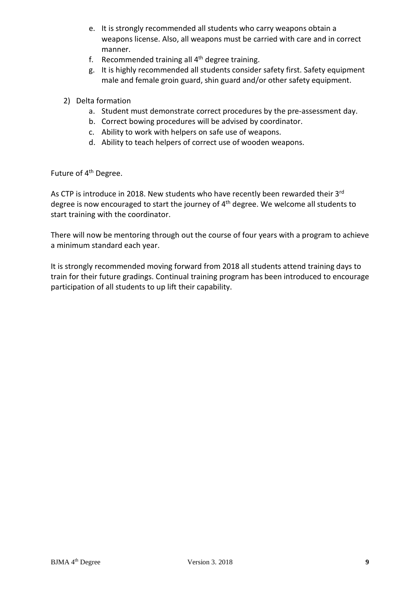- e. It is strongly recommended all students who carry weapons obtain a weapons license. Also, all weapons must be carried with care and in correct manner.
- f. Recommended training all  $4<sup>th</sup>$  degree training.
- g. It is highly recommended all students consider safety first. Safety equipment male and female groin guard, shin guard and/or other safety equipment.
- 2) Delta formation
	- a. Student must demonstrate correct procedures by the pre-assessment day.
	- b. Correct bowing procedures will be advised by coordinator.
	- c. Ability to work with helpers on safe use of weapons.
	- d. Ability to teach helpers of correct use of wooden weapons.

Future of 4<sup>th</sup> Degree.

As CTP is introduce in 2018. New students who have recently been rewarded their 3rd degree is now encouraged to start the journey of 4<sup>th</sup> degree. We welcome all students to start training with the coordinator.

There will now be mentoring through out the course of four years with a program to achieve a minimum standard each year.

It is strongly recommended moving forward from 2018 all students attend training days to train for their future gradings. Continual training program has been introduced to encourage participation of all students to up lift their capability.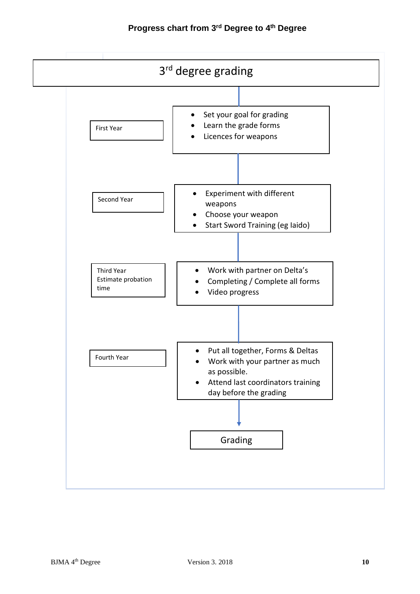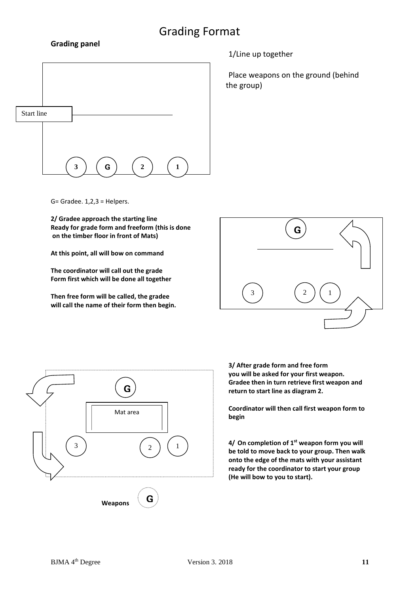## Grading Format

#### **Grading panel**



1/Line up together

Place weapons on the ground (behind the group)

G= Gradee. 1,2,3 = Helpers.

**2/ Gradee approach the starting line Ready for grade form and freeform (this is done on the timber floor in front of Mats)**

**At this point, all will bow on command**

**The coordinator will call out the grade Form first which will be done all together**

**Then free form will be called, the gradee will call the name of their form then begin.**





**3/ After grade form and free form you will be asked for your first weapon. Gradee then in turn retrieve first weapon and return to start line as diagram 2.**

**Coordinator will then call first weapon form to begin** 

**4/ On completion of 1st weapon form you will be told to move back to your group. Then walk onto the edge of the mats with your assistant ready for the coordinator to start your group (He will bow to you to start).**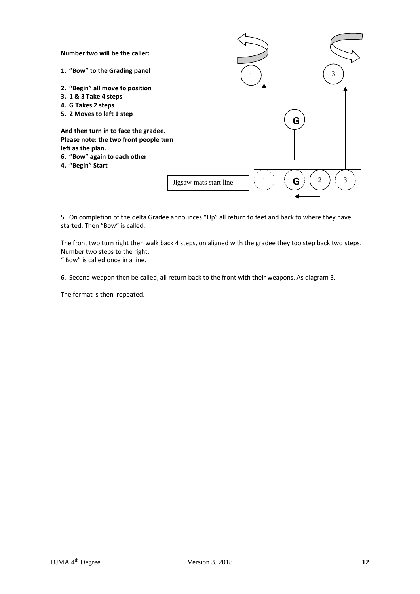

5. On completion of the delta Gradee announces "Up" all return to feet and back to where they have started. Then "Bow" is called.

The front two turn right then walk back 4 steps, on aligned with the gradee they too step back two steps. Number two steps to the right.

" Bow" is called once in a line.

6. Second weapon then be called, all return back to the front with their weapons. As diagram 3.

The format is then repeated.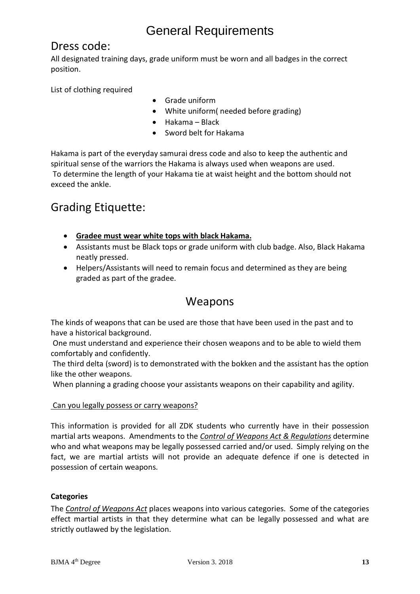## General Requirements

## Dress code:

All designated training days, grade uniform must be worn and all badges in the correct position.

List of clothing required

- Grade uniform
- White uniform( needed before grading)
- Hakama Black
- Sword belt for Hakama

Hakama is part of the everyday samurai dress code and also to keep the authentic and spiritual sense of the warriors the Hakama is always used when weapons are used. To determine the length of your Hakama tie at waist height and the bottom should not exceed the ankle.

## Grading Etiquette:

- **Gradee must wear white tops with black Hakama.**
- Assistants must be Black tops or grade uniform with club badge. Also, Black Hakama neatly pressed.
- Helpers/Assistants will need to remain focus and determined as they are being graded as part of the gradee.

## Weapons

The kinds of weapons that can be used are those that have been used in the past and to have a historical background.

One must understand and experience their chosen weapons and to be able to wield them comfortably and confidently.

The third delta (sword) is to demonstrated with the bokken and the assistant has the option like the other weapons.

When planning a grading choose your assistants weapons on their capability and agility.

### Can you legally possess or carry weapons?

This information is provided for all ZDK students who currently have in their possession martial arts weapons. Amendments to the *Control of Weapons Act & Regulations* determine who and what weapons may be legally possessed carried and/or used. Simply relying on the fact, we are martial artists will not provide an adequate defence if one is detected in possession of certain weapons.

### **Categories**

The *Control of Weapons Act* places weapons into various categories. Some of the categories effect martial artists in that they determine what can be legally possessed and what are strictly outlawed by the legislation.